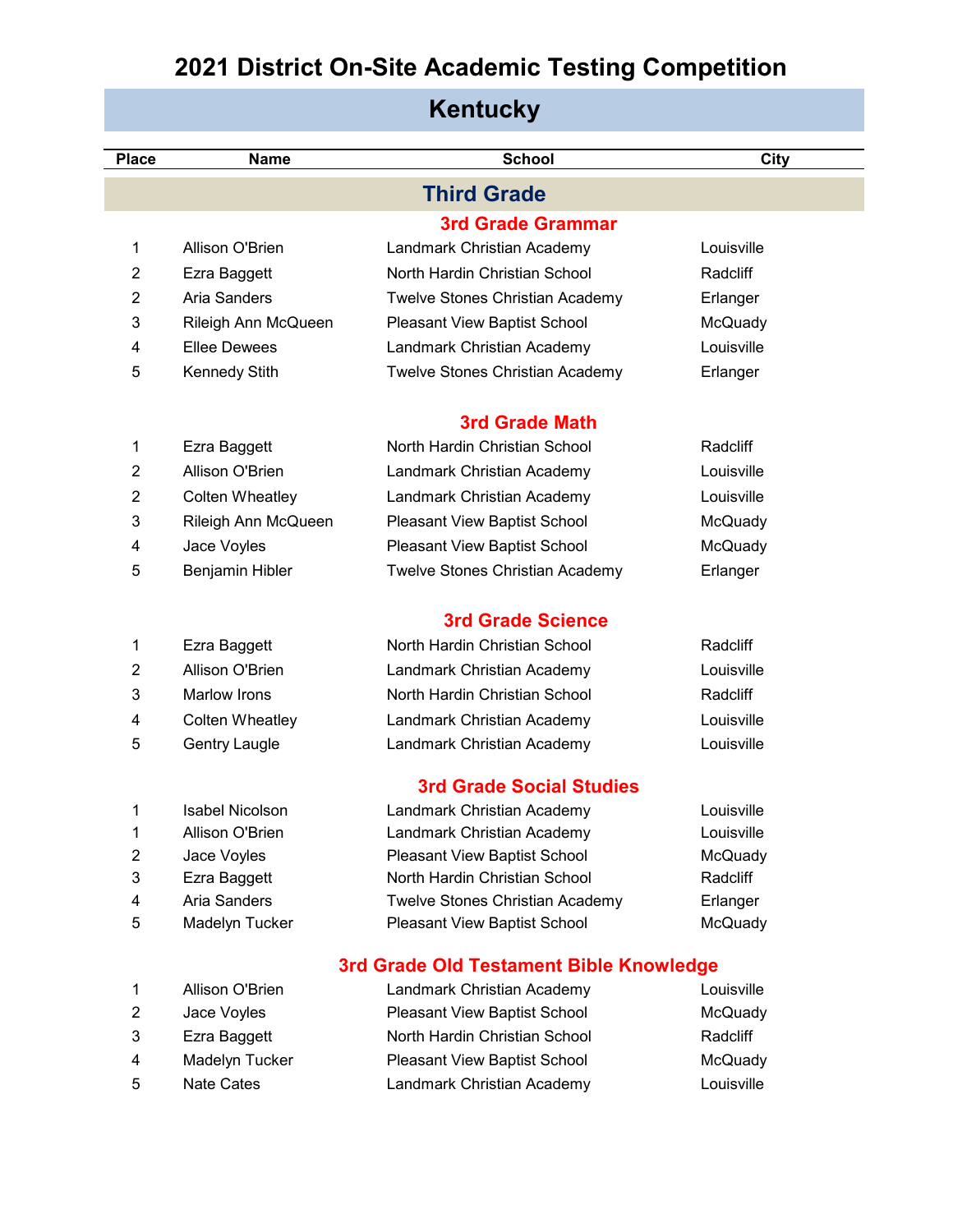#### **Place Name School City 3rd Grade Grammar** Allison O'Brien Landmark Christian Academy Louisville Ezra Baggett North Hardin Christian School Radcliff Aria Sanders Twelve Stones Christian Academy Erlanger Rileigh Ann McQueen Pleasant View Baptist School McQuady Ellee Dewees Landmark Christian Academy Louisville Kennedy Stith Twelve Stones Christian Academy Erlanger **3rd Grade Math** Ezra Baggett North Hardin Christian School Radcliff Allison O'Brien Landmark Christian Academy Louisville Colten Wheatley Landmark Christian Academy Louisville Rileigh Ann McQueen Pleasant View Baptist School McQuady 4 Jace Voyles **Pleasant View Baptist School** McQuady Benjamin Hibler Twelve Stones Christian Academy Erlanger **3rd Grade Science**  1 Ezra Baggett **North Hardin Christian School** Radcliff Allison O'Brien Landmark Christian Academy Louisville Marlow Irons North Hardin Christian School Radcliff Colten Wheatley Landmark Christian Academy Louisville Gentry Laugle Landmark Christian Academy Louisville **3rd Grade Social Studies** Isabel Nicolson Landmark Christian Academy Louisville Allison O'Brien Landmark Christian Academy Louisville 2 Jace Voyles **Pleasant View Baptist School** McQuady Ezra Baggett North Hardin Christian School Radcliff Aria Sanders Twelve Stones Christian Academy Erlanger Madelyn Tucker Pleasant View Baptist School McQuady **3rd Grade Old Testament Bible Knowledge Kentucky Third Grade**

|    | Allison O'Brien   | Landmark Christian Academy          | Louisville |
|----|-------------------|-------------------------------------|------------|
| 2  | Jace Voyles       | <b>Pleasant View Baptist School</b> | McQuady    |
| -3 | Ezra Baggett      | North Hardin Christian School       | Radcliff   |
| 4  | Madelyn Tucker    | <b>Pleasant View Baptist School</b> | McQuady    |
| .5 | <b>Nate Cates</b> | Landmark Christian Academy          | Louisville |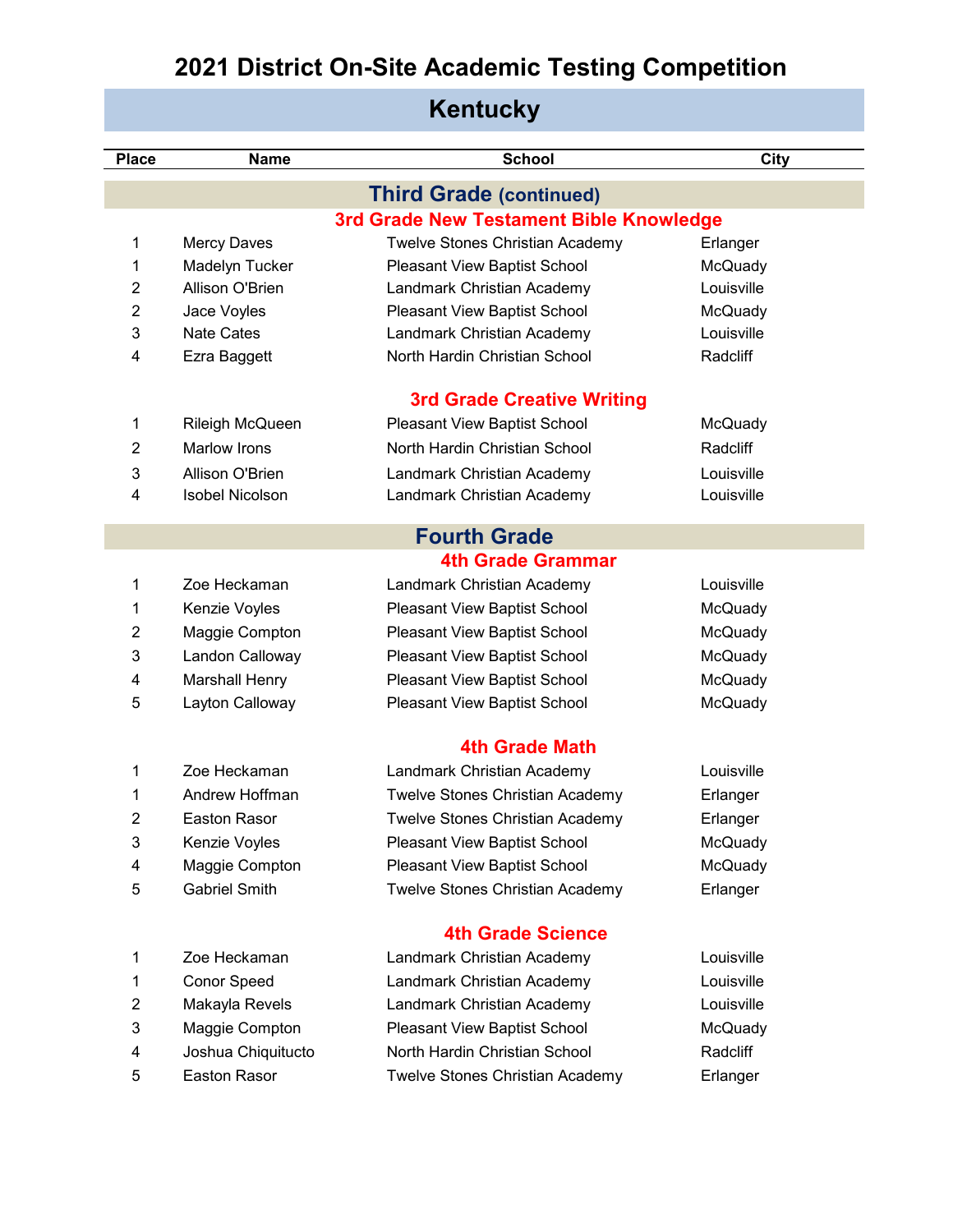|  |  | <b>Kentucky</b> |
|--|--|-----------------|
|--|--|-----------------|

| <b>Place</b>   | <b>Name</b>            | <b>School</b>                           | <b>City</b> |
|----------------|------------------------|-----------------------------------------|-------------|
|                |                        | <b>Third Grade (continued)</b>          |             |
|                |                        | 3rd Grade New Testament Bible Knowledge |             |
| 1              | <b>Mercy Daves</b>     | <b>Twelve Stones Christian Academy</b>  | Erlanger    |
| 1              | Madelyn Tucker         | Pleasant View Baptist School            | McQuady     |
| 2              | Allison O'Brien        | Landmark Christian Academy              | Louisville  |
| $\overline{2}$ | Jace Voyles            | Pleasant View Baptist School            | McQuady     |
| 3              | <b>Nate Cates</b>      | Landmark Christian Academy              | Louisville  |
| 4              | Ezra Baggett           | North Hardin Christian School           | Radcliff    |
|                |                        | <b>3rd Grade Creative Writing</b>       |             |
| 1              | Rileigh McQueen        | Pleasant View Baptist School            | McQuady     |
| 2              | Marlow Irons           | North Hardin Christian School           | Radcliff    |
| 3              | Allison O'Brien        | Landmark Christian Academy              | Louisville  |
| 4              | <b>Isobel Nicolson</b> | Landmark Christian Academy              | Louisville  |
|                |                        | <b>Fourth Grade</b>                     |             |
|                |                        | <b>4th Grade Grammar</b>                |             |
| 1              | Zoe Heckaman           | Landmark Christian Academy              | Louisville  |
| 1              | Kenzie Voyles          | Pleasant View Baptist School            | McQuady     |
| 2              | Maggie Compton         | Pleasant View Baptist School            | McQuady     |
| 3              | Landon Calloway        | Pleasant View Baptist School            | McQuady     |
| 4              | <b>Marshall Henry</b>  | Pleasant View Baptist School            | McQuady     |
| 5              | Layton Calloway        | Pleasant View Baptist School            | McQuady     |
|                |                        | <b>4th Grade Math</b>                   |             |
|                |                        |                                         |             |
| 1              | Zoe Heckaman           | Landmark Christian Academy              | Louisville  |
| 1              | Andrew Hoffman         | Twelve Stones Christian Academy         | Erlanger    |
| 2              | Easton Rasor           | <b>Twelve Stones Christian Academy</b>  | Erlanger    |
| 3              | Kenzie Voyles          | Pleasant View Baptist School            | McQuady     |
| 4              | Maggie Compton         | Pleasant View Baptist School            | McQuady     |
| 5              | <b>Gabriel Smith</b>   | Twelve Stones Christian Academy         | Erlanger    |
|                |                        | <b>4th Grade Science</b>                |             |
| 1              | Zoe Heckaman           | Landmark Christian Academy              | Louisville  |
| 1              | Conor Speed            | Landmark Christian Academy              | Louisville  |
| $\overline{c}$ | Makayla Revels         | Landmark Christian Academy              | Louisville  |
| 3              | Maggie Compton         | Pleasant View Baptist School            | McQuady     |
| 4              | Joshua Chiquitucto     | North Hardin Christian School           | Radcliff    |
| 5              | <b>Easton Rasor</b>    | Twelve Stones Christian Academy         | Erlanger    |
|                |                        |                                         |             |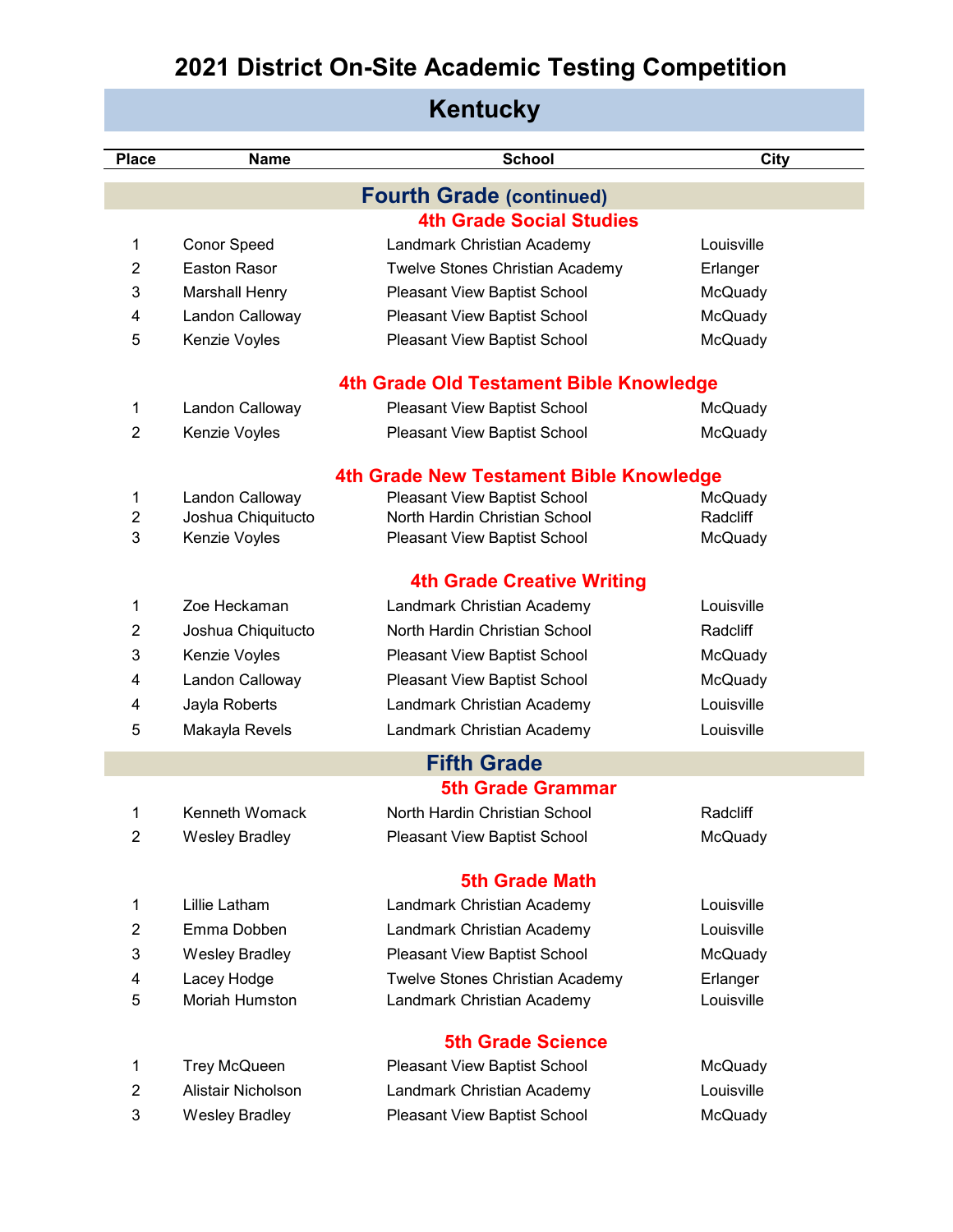| Kentucky       |                       |                                         |                |  |
|----------------|-----------------------|-----------------------------------------|----------------|--|
| <b>Place</b>   | <b>Name</b>           | <b>School</b>                           | City           |  |
|                |                       | <b>Fourth Grade (continued)</b>         |                |  |
|                |                       | <b>4th Grade Social Studies</b>         |                |  |
| 1              | <b>Conor Speed</b>    | Landmark Christian Academy              | Louisville     |  |
| $\overline{2}$ | Easton Rasor          | <b>Twelve Stones Christian Academy</b>  | Erlanger       |  |
| 3              | <b>Marshall Henry</b> | Pleasant View Baptist School            | McQuady        |  |
| 4              | Landon Calloway       | Pleasant View Baptist School            | <b>McQuady</b> |  |
| 5              | Kenzie Voyles         | Pleasant View Baptist School            | McQuady        |  |
|                |                       | 4th Grade Old Testament Bible Knowledge |                |  |
| 1              | Landon Calloway       | Pleasant View Baptist School            | McQuady        |  |
| $\overline{2}$ | Kenzie Voyles         | Pleasant View Baptist School            | McQuady        |  |
|                |                       | 4th Grade New Testament Bible Knowledge |                |  |
| 1              | Landon Calloway       | Pleasant View Baptist School            | McQuady        |  |
| $\overline{2}$ | Joshua Chiquitucto    | North Hardin Christian School           | Radcliff       |  |
| 3              | Kenzie Voyles         | Pleasant View Baptist School            | <b>McQuady</b> |  |
|                |                       | <b>4th Grade Creative Writing</b>       |                |  |
| 1              | Zoe Heckaman          | Landmark Christian Academy              | Louisville     |  |
| 2              | Joshua Chiquitucto    | North Hardin Christian School           | Radcliff       |  |
| 3              | Kenzie Voyles         | Pleasant View Baptist School            | McQuady        |  |
| 4              | Landon Calloway       | Pleasant View Baptist School            | McQuady        |  |
| 4              | Jayla Roberts         | Landmark Christian Academy              | Louisville     |  |
| 5              | Makayla Revels        | Landmark Christian Academy              | Louisville     |  |
|                |                       | <b>Fifth Grade</b>                      |                |  |
|                |                       | <b>5th Grade Grammar</b>                |                |  |
| 1              | Kenneth Womack        | North Hardin Christian School           | Radcliff       |  |
| $\overline{2}$ | <b>Wesley Bradley</b> | Pleasant View Baptist School            | McQuady        |  |
|                |                       | <b>5th Grade Math</b>                   |                |  |
| 1              | Lillie Latham         | Landmark Christian Academy              | Louisville     |  |
| $\overline{2}$ | Emma Dobben           | Landmark Christian Academy              | Louisville     |  |
| 3              | <b>Wesley Bradley</b> | Pleasant View Baptist School            | McQuady        |  |
| 4              | Lacey Hodge           | Twelve Stones Christian Academy         | Erlanger       |  |
| 5              | Moriah Humston        | Landmark Christian Academy              | Louisville     |  |
|                |                       | <b>5th Grade Science</b>                |                |  |
| 1              | <b>Trey McQueen</b>   | Pleasant View Baptist School            | McQuady        |  |
| $\overline{2}$ | Alistair Nicholson    | Landmark Christian Academy              | Louisville     |  |
| 3              | <b>Wesley Bradley</b> | Pleasant View Baptist School            | McQuady        |  |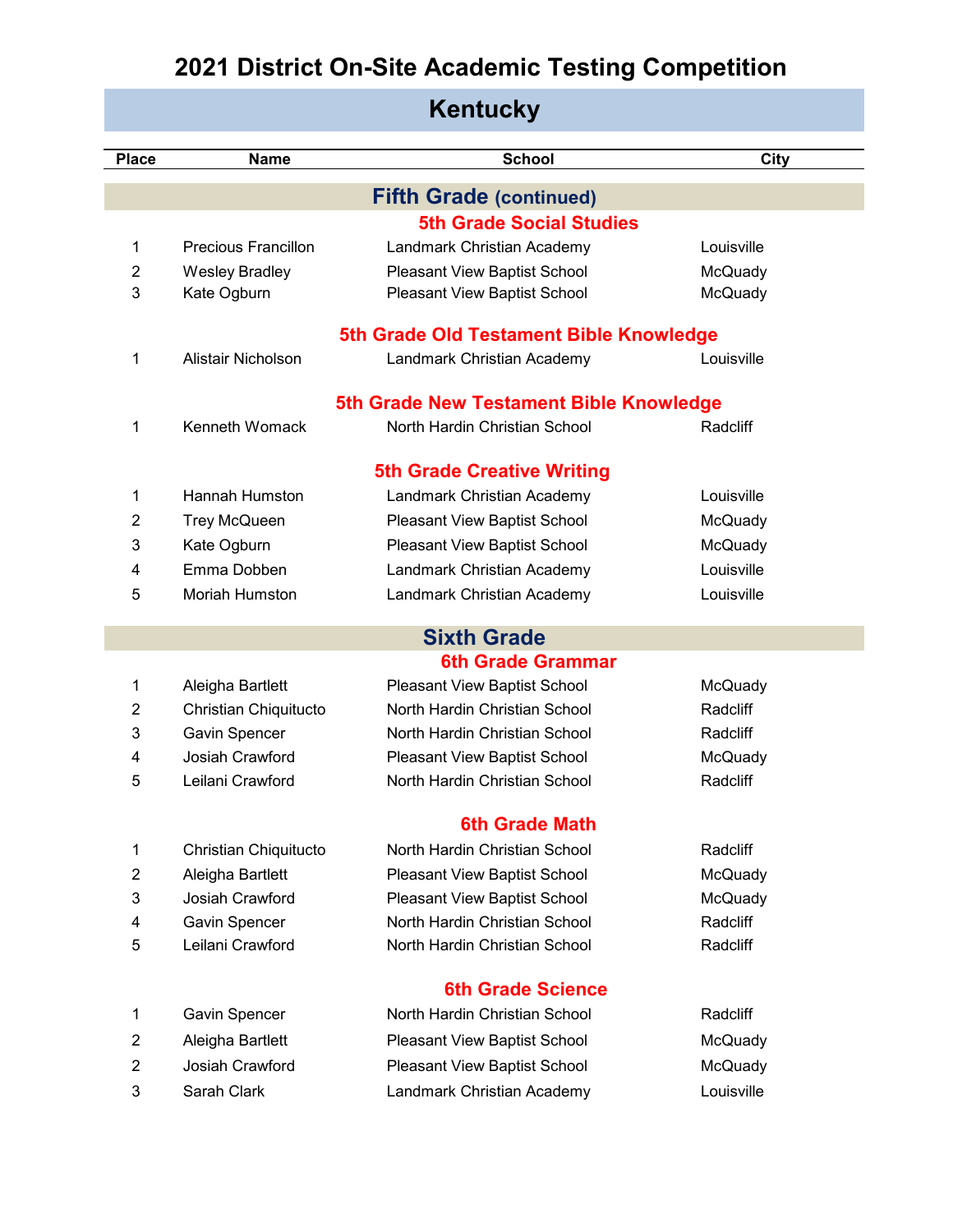| <b>Kentucky</b> |                                      |                                         |            |  |  |
|-----------------|--------------------------------------|-----------------------------------------|------------|--|--|
| Place           | <b>School</b><br>City<br><b>Name</b> |                                         |            |  |  |
|                 |                                      |                                         |            |  |  |
|                 |                                      | <b>Fifth Grade (continued)</b>          |            |  |  |
|                 |                                      | <b>5th Grade Social Studies</b>         |            |  |  |
| 1               | Precious Francillon                  | Landmark Christian Academy              | Louisville |  |  |
| 2               | Wesley Bradley                       | Pleasant View Baptist School            | McQuady    |  |  |
| 3               | Kate Ogburn                          | Pleasant View Baptist School            | McQuady    |  |  |
|                 |                                      | 5th Grade Old Testament Bible Knowledge |            |  |  |
| 1               | Alistair Nicholson                   | Landmark Christian Academy              | Louisville |  |  |
|                 |                                      | 5th Grade New Testament Bible Knowledge |            |  |  |
| 1               | Kenneth Womack                       | North Hardin Christian School           | Radcliff   |  |  |
|                 |                                      | <b>5th Grade Creative Writing</b>       |            |  |  |
| 1               | Hannah Humston                       | Landmark Christian Academy              | Louisville |  |  |
| 2               | <b>Trey McQueen</b>                  | Pleasant View Baptist School            | McQuady    |  |  |
| 3               | Kate Ogburn                          | Pleasant View Baptist School            | McQuady    |  |  |
| 4               | Emma Dobben                          | Landmark Christian Academy              | Louisville |  |  |
| 5               | <b>Moriah Humston</b>                | Landmark Christian Academy              | Louisville |  |  |

#### **6th Grade Grammar Sixth Grade**

|    | Aleigha Bartlett      | <b>Pleasant View Baptist School</b> | McQuady  |
|----|-----------------------|-------------------------------------|----------|
|    | Christian Chiquitucto | North Hardin Christian School       | Radcliff |
| 3  | <b>Gavin Spencer</b>  | North Hardin Christian School       | Radcliff |
| 4  | Josiah Crawford       | <b>Pleasant View Baptist School</b> | McQuady  |
| 5. | Leilani Crawford      | North Hardin Christian School       | Radcliff |
|    |                       |                                     |          |

#### **6th Grade Math**

| 1 | Christian Chiquitucto | North Hardin Christian School       | Radcliff |
|---|-----------------------|-------------------------------------|----------|
| 2 | Aleigha Bartlett      | <b>Pleasant View Baptist School</b> | McQuady  |
| 3 | Josiah Crawford       | <b>Pleasant View Baptist School</b> | McQuady  |
| 4 | Gavin Spencer         | North Hardin Christian School       | Radcliff |
| 5 | Leilani Crawford      | North Hardin Christian School       | Radcliff |
|   |                       | <b>6th Grade Science</b>            |          |
| 1 | Gavin Spencer         | North Hardin Christian School       | Radcliff |
| 2 | Aleigha Bartlett      | <b>Pleasant View Baptist School</b> | McQuady  |
| 2 | Josiah Crawford       | <b>Pleasant View Baptist School</b> | McQuady  |

Sarah Clark Landmark Christian Academy Louisville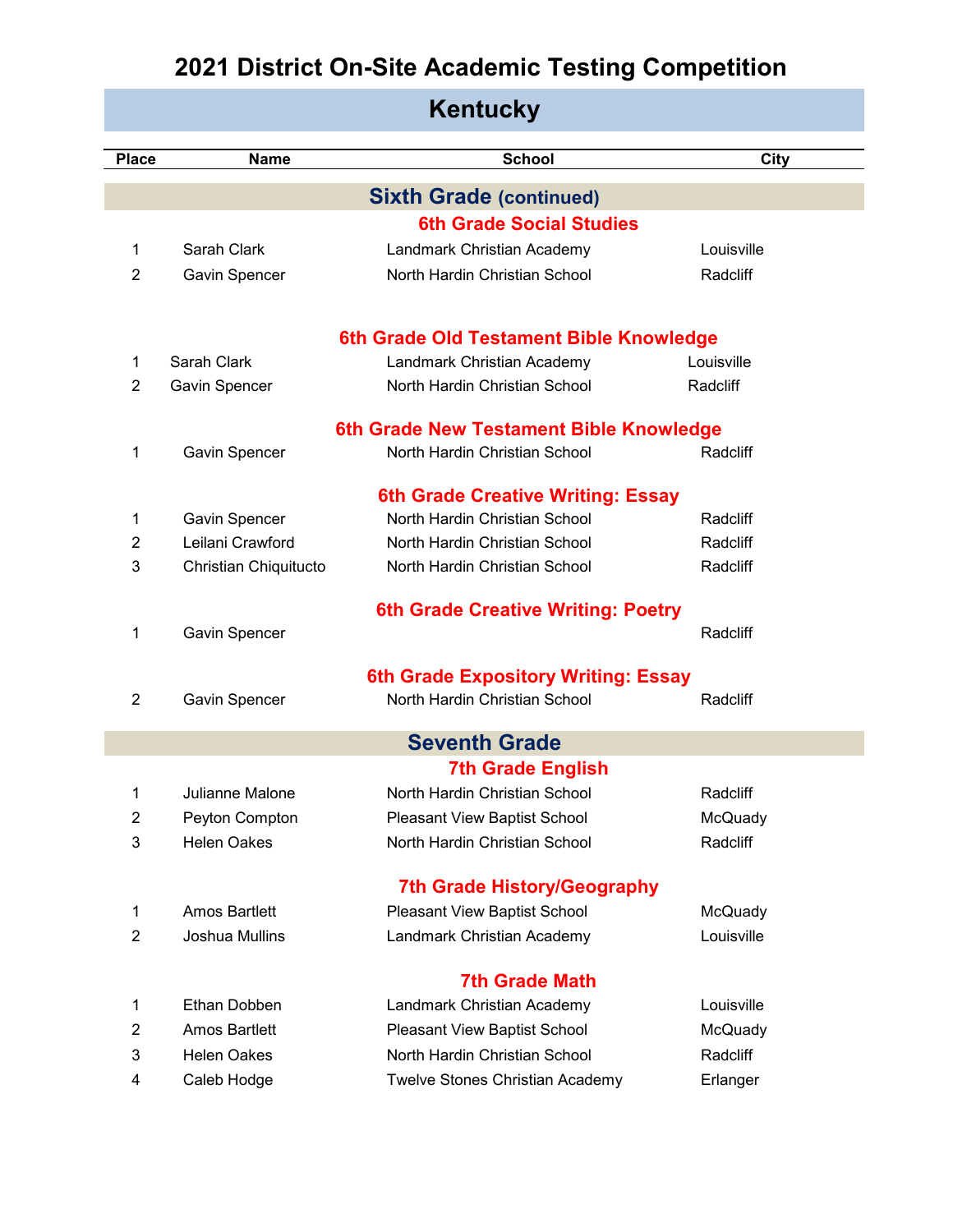| <b>Place</b>   | <b>Name</b>           | <b>School</b>                                                      | City       |
|----------------|-----------------------|--------------------------------------------------------------------|------------|
|                |                       | <b>Sixth Grade (continued)</b>                                     |            |
|                |                       | <b>6th Grade Social Studies</b>                                    |            |
| $\mathbf{1}$   | Sarah Clark           | Landmark Christian Academy                                         | Louisville |
| $\overline{2}$ | Gavin Spencer         | North Hardin Christian School                                      | Radcliff   |
|                |                       |                                                                    |            |
|                |                       | 6th Grade Old Testament Bible Knowledge                            |            |
| $\mathbf 1$    | Sarah Clark           | Landmark Christian Academy                                         | Louisville |
| 2              | Gavin Spencer         | North Hardin Christian School                                      | Radcliff   |
|                |                       | 6th Grade New Testament Bible Knowledge                            |            |
| 1              | Gavin Spencer         | North Hardin Christian School                                      | Radcliff   |
|                |                       |                                                                    |            |
| $\mathbf 1$    | Gavin Spencer         | 6th Grade Creative Writing: Essay<br>North Hardin Christian School | Radcliff   |
| 2              | Leilani Crawford      | North Hardin Christian School                                      | Radcliff   |
| 3              | Christian Chiquitucto | North Hardin Christian School                                      | Radcliff   |
|                |                       |                                                                    |            |
|                |                       | <b>6th Grade Creative Writing: Poetry</b>                          |            |
| 1              | Gavin Spencer         |                                                                    | Radcliff   |
|                |                       | <b>6th Grade Expository Writing: Essay</b>                         |            |
| 2              | Gavin Spencer         | North Hardin Christian School                                      | Radcliff   |
|                |                       | <b>Seventh Grade</b>                                               |            |
|                |                       | <b>7th Grade English</b>                                           |            |
| 1              | Julianne Malone       | North Hardin Christian School                                      | Radcliff   |
| 2              | Peyton Compton        | Pleasant View Baptist School                                       | McQuady    |
| 3              | <b>Helen Oakes</b>    | North Hardin Christian School                                      | Radcliff   |
|                |                       |                                                                    |            |
|                |                       | <b>7th Grade History/Geography</b>                                 |            |
| $\mathbf 1$    | <b>Amos Bartlett</b>  | Pleasant View Baptist School                                       | McQuady    |
| $\overline{2}$ | Joshua Mullins        | Landmark Christian Academy                                         | Louisville |
|                |                       | <b>7th Grade Math</b>                                              |            |
| 1              | Ethan Dobben          | Landmark Christian Academy                                         | Louisville |
| $\overline{2}$ | <b>Amos Bartlett</b>  | Pleasant View Baptist School                                       | McQuady    |
| 3              | <b>Helen Oakes</b>    | North Hardin Christian School                                      | Radcliff   |
| 4              | Caleb Hodge           | Twelve Stones Christian Academy                                    | Erlanger   |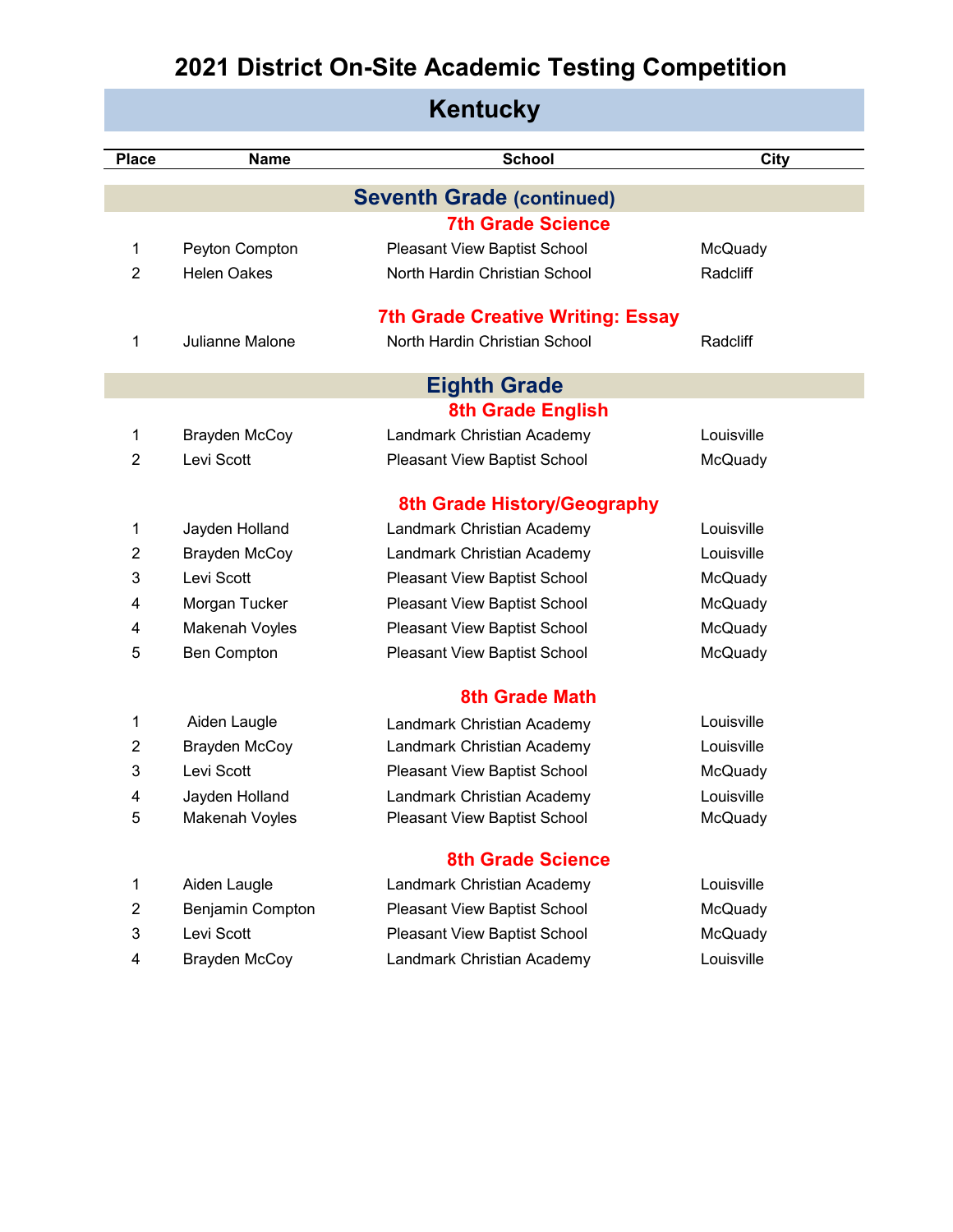|                |                        | <b>Kentucky</b>                          |                |
|----------------|------------------------|------------------------------------------|----------------|
| <b>Place</b>   | <b>Name</b>            | <b>School</b>                            | <b>City</b>    |
|                |                        | <b>Seventh Grade (continued)</b>         |                |
|                |                        | <b>7th Grade Science</b>                 |                |
| 1              | Peyton Compton         | Pleasant View Baptist School             | McQuady        |
| $\overline{2}$ | <b>Helen Oakes</b>     | North Hardin Christian School            | Radcliff       |
|                |                        | <b>7th Grade Creative Writing: Essay</b> |                |
| 1              | <b>Julianne Malone</b> | North Hardin Christian School            | Radcliff       |
|                |                        | <b>Eighth Grade</b>                      |                |
|                |                        | <b>8th Grade English</b>                 |                |
| 1              | <b>Brayden McCoy</b>   | Landmark Christian Academy               | Louisville     |
| $\overline{2}$ | Levi Scott             | Pleasant View Baptist School             | McQuady        |
|                |                        | 8th Grade History/Geography              |                |
| 1              | Jayden Holland         | Landmark Christian Academy               | Louisville     |
| 2              | <b>Brayden McCoy</b>   | Landmark Christian Academy               | Louisville     |
| 3              | Levi Scott             | Pleasant View Baptist School             | McQuady        |
| 4              | Morgan Tucker          | Pleasant View Baptist School             | McQuady        |
| 4              | Makenah Voyles         | Pleasant View Baptist School             | McQuady        |
| 5              | <b>Ben Compton</b>     | Pleasant View Baptist School             | McQuady        |
|                |                        | <b>8th Grade Math</b>                    |                |
| 1              | Aiden Laugle           | Landmark Christian Academy               | Louisville     |
| $\overline{2}$ | Brayden McCoy          | Landmark Christian Academy               | Louisville     |
| 3              | Levi Scott             | Pleasant View Baptist School             | McQuady        |
| 4              | Jayden Holland         | Landmark Christian Academy               | Louisville     |
| 5              | Makenah Voyles         | Pleasant View Baptist School             | <b>McQuady</b> |
|                |                        | <b>8th Grade Science</b>                 |                |
| 1              | Aiden Laugle           | Landmark Christian Academy               | Louisville     |
| $\overline{2}$ | Benjamin Compton       | Pleasant View Baptist School             | McQuady        |
| 3              | Levi Scott             | Pleasant View Baptist School             | McQuady        |
| 4              | <b>Brayden McCoy</b>   | Landmark Christian Academy               | Louisville     |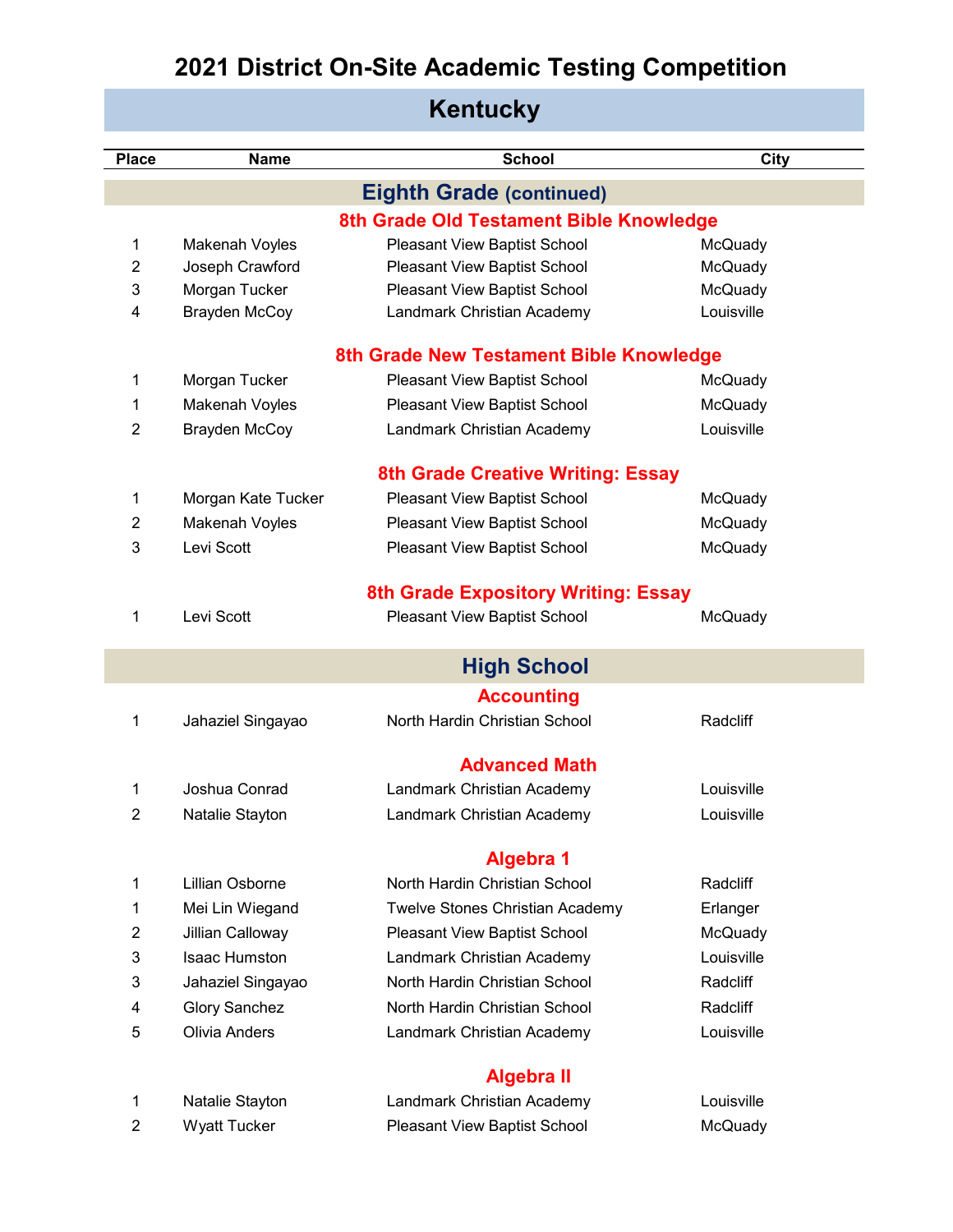**Kentucky**

| <b>Place</b>   | <b>Name</b>          | <b>School</b>                              | City       |
|----------------|----------------------|--------------------------------------------|------------|
|                |                      | <b>Eighth Grade (continued)</b>            |            |
|                |                      | 8th Grade Old Testament Bible Knowledge    |            |
| 1              | Makenah Voyles       | Pleasant View Baptist School               | McQuady    |
| $\overline{2}$ | Joseph Crawford      | Pleasant View Baptist School               | McQuady    |
| 3              | Morgan Tucker        | Pleasant View Baptist School               | McQuady    |
| 4              | Brayden McCoy        | Landmark Christian Academy                 | Louisville |
|                |                      | 8th Grade New Testament Bible Knowledge    |            |
| 1              | Morgan Tucker        | Pleasant View Baptist School               | McQuady    |
| 1              | Makenah Voyles       | Pleasant View Baptist School               | McQuady    |
| 2              | <b>Brayden McCoy</b> | Landmark Christian Academy                 | Louisville |
|                |                      | 8th Grade Creative Writing: Essay          |            |
| 1              | Morgan Kate Tucker   | Pleasant View Baptist School               | McQuady    |
| 2              | Makenah Voyles       | Pleasant View Baptist School               | McQuady    |
| 3              | Levi Scott           | Pleasant View Baptist School               | McQuady    |
|                |                      |                                            |            |
|                |                      | <b>8th Grade Expository Writing: Essay</b> |            |
| 1              | Levi Scott           | Pleasant View Baptist School               | McQuady    |
|                |                      | <b>High School</b>                         |            |
|                |                      | <b>Accounting</b>                          |            |
| 1              | Jahaziel Singayao    | North Hardin Christian School              | Radcliff   |
|                |                      | <b>Advanced Math</b>                       |            |
| 1              | Joshua Conrad        | Landmark Christian Academy                 | Louisville |
| $\overline{2}$ | Natalie Stayton      | Landmark Christian Academy                 | Louisville |
|                |                      |                                            |            |
|                |                      | <b>Algebra 1</b>                           |            |
| 1              | Lillian Osborne      | North Hardin Christian School              | Radcliff   |
| 1              | Mei Lin Wiegand      | Twelve Stones Christian Academy            | Erlanger   |
| 2              | Jillian Calloway     | Pleasant View Baptist School               | McQuady    |
| 3              | <b>Isaac Humston</b> | Landmark Christian Academy                 | Louisville |
| 3              | Jahaziel Singayao    | North Hardin Christian School              | Radcliff   |
| 4              | <b>Glory Sanchez</b> | North Hardin Christian School              | Radcliff   |
| 5              | <b>Olivia Anders</b> | Landmark Christian Academy                 | Louisville |
|                |                      | <b>Algebra II</b>                          |            |
| 1              | Natalie Stayton      | Landmark Christian Academy                 | Louisville |

2 Wyatt Tucker Pleasant View Baptist School McQuady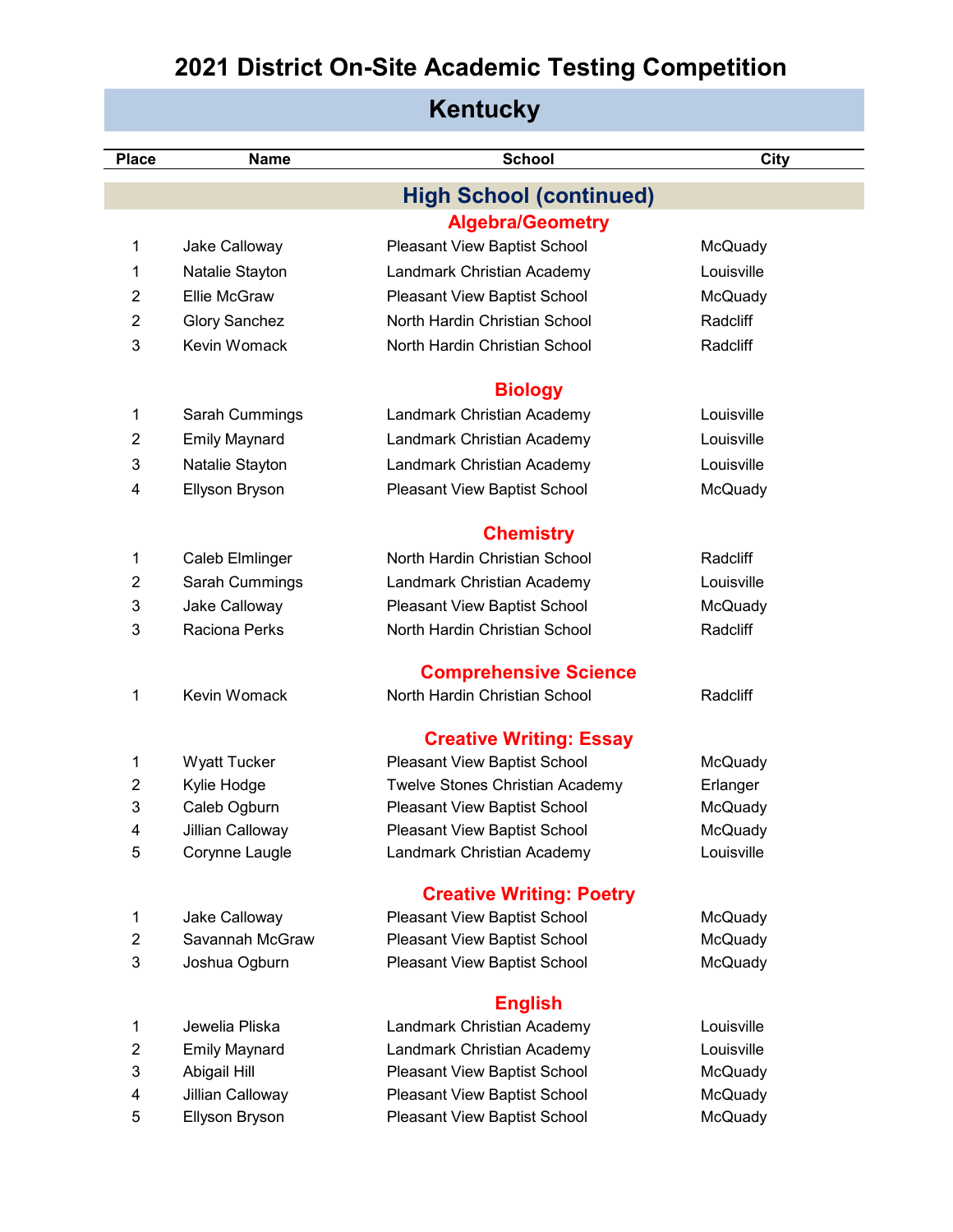| <b>Kentucky</b> |                      |                                 |            |
|-----------------|----------------------|---------------------------------|------------|
| <b>Place</b>    | <b>Name</b>          | <b>School</b>                   | City       |
|                 |                      | <b>High School (continued)</b>  |            |
|                 |                      | <b>Algebra/Geometry</b>         |            |
| 1               | Jake Calloway        | Pleasant View Baptist School    | McQuady    |
| 1               | Natalie Stayton      | Landmark Christian Academy      | Louisville |
| 2               | <b>Ellie McGraw</b>  | Pleasant View Baptist School    | McQuady    |
| 2               | <b>Glory Sanchez</b> | North Hardin Christian School   | Radcliff   |
| 3               | Kevin Womack         | North Hardin Christian School   | Radcliff   |
|                 |                      | <b>Biology</b>                  |            |
| 1               | Sarah Cummings       | Landmark Christian Academy      | Louisville |
| 2               | <b>Emily Maynard</b> | Landmark Christian Academy      | Louisville |
| 3               | Natalie Stayton      | Landmark Christian Academy      | Louisville |
| 4               | Ellyson Bryson       | Pleasant View Baptist School    | McQuady    |
|                 |                      |                                 |            |
|                 |                      | <b>Chemistry</b>                |            |
| 1               | Caleb Elmlinger      | North Hardin Christian School   | Radcliff   |
| 2               | Sarah Cummings       | Landmark Christian Academy      | Louisville |
| 3               | Jake Calloway        | Pleasant View Baptist School    | McQuady    |
| 3               | <b>Raciona Perks</b> | North Hardin Christian School   | Radcliff   |
|                 |                      | <b>Comprehensive Science</b>    |            |
| 1               | Kevin Womack         | North Hardin Christian School   | Radcliff   |
|                 |                      | <b>Creative Writing: Essay</b>  |            |
| 1               | <b>Wyatt Tucker</b>  | Pleasant View Baptist School    | McQuady    |
| 2               | Kylie Hodge          | Twelve Stones Christian Academy | Erlanger   |
| 3               | Caleb Ogburn         | Pleasant View Baptist School    | McQuady    |
| 4               | Jillian Calloway     | Pleasant View Baptist School    | McQuady    |
| 5               | Corynne Laugle       | Landmark Christian Academy      | Louisville |
|                 |                      | <b>Creative Writing: Poetry</b> |            |
| 1               | Jake Calloway        | Pleasant View Baptist School    | McQuady    |
| $\overline{c}$  | Savannah McGraw      | Pleasant View Baptist School    | McQuady    |
| 3               | Joshua Ogburn        | Pleasant View Baptist School    | McQuady    |
|                 |                      | <b>English</b>                  |            |
| 1               | Jewelia Pliska       | Landmark Christian Academy      | Louisville |
| 2               | <b>Emily Maynard</b> | Landmark Christian Academy      | Louisville |
| 3               | Abigail Hill         | Pleasant View Baptist School    | McQuady    |
| 4               | Jillian Calloway     | Pleasant View Baptist School    | McQuady    |
| 5               | Ellyson Bryson       | Pleasant View Baptist School    | McQuady    |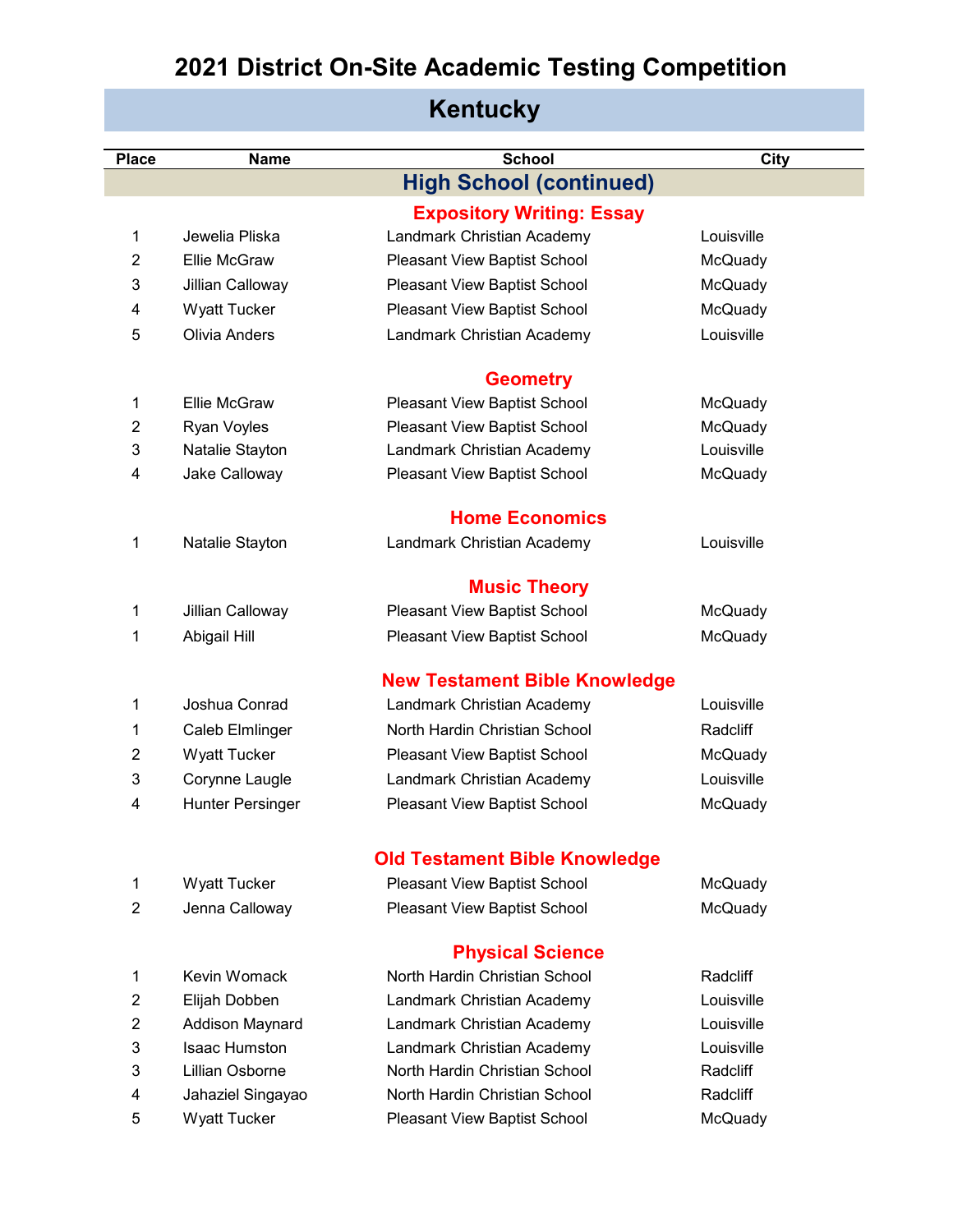#### **Place Name School City High School (continued) Expository Writing: Essay** Jewelia Pliska Landmark Christian Academy Louisville Ellie McGraw Pleasant View Baptist School McQuady Jillian Calloway Pleasant View Baptist School McQuady Wyatt Tucker Pleasant View Baptist School McQuady Olivia Anders Landmark Christian Academy Louisville **Geometry** Ellie McGraw Pleasant View Baptist School McQuady Ryan Voyles Pleasant View Baptist School McQuady Natalie Stayton Landmark Christian Academy Louisville Jake Calloway Pleasant View Baptist School McQuady **Home Economics** Natalie Stayton Landmark Christian Academy Louisville **Music Theory** Jillian Calloway Pleasant View Baptist School McQuady Abigail Hill Pleasant View Baptist School McQuady **New Testament Bible Knowledge** Joshua Conrad Landmark Christian Academy Louisville Caleb Elmlinger North Hardin Christian School Radcliff 2 Wyatt Tucker Pleasant View Baptist School McQuady Corynne Laugle Landmark Christian Academy Louisville 4 Hunter Persinger Pleasant View Baptist School McQuady **Old Testament Bible Knowledge** Wyatt Tucker Pleasant View Baptist School McQuady Jenna Calloway Pleasant View Baptist School McQuady **Physical Science** Kevin Womack North Hardin Christian School Radcliff Elijah Dobben Landmark Christian Academy Louisville Addison Maynard Landmark Christian Academy Louisville Isaac Humston Landmark Christian Academy Louisville Lillian Osborne North Hardin Christian School Radcliff Jahaziel Singayao North Hardin Christian School Radcliff Wyatt Tucker Pleasant View Baptist School McQuady

#### **Kentucky**